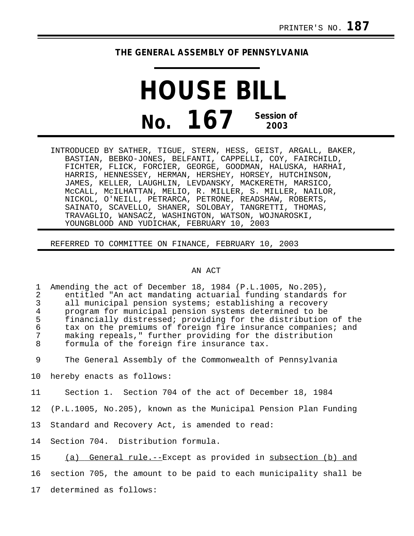## **THE GENERAL ASSEMBLY OF PENNSYLVANIA**

## **HOUSE BILL No. 167 Session of 2003**

INTRODUCED BY SATHER, TIGUE, STERN, HESS, GEIST, ARGALL, BAKER, BASTIAN, BEBKO-JONES, BELFANTI, CAPPELLI, COY, FAIRCHILD, FICHTER, FLICK, FORCIER, GEORGE, GOODMAN, HALUSKA, HARHAI, HARRIS, HENNESSEY, HERMAN, HERSHEY, HORSEY, HUTCHINSON, JAMES, KELLER, LAUGHLIN, LEVDANSKY, MACKERETH, MARSICO, McCALL, McILHATTAN, MELIO, R. MILLER, S. MILLER, NAILOR, NICKOL, O'NEILL, PETRARCA, PETRONE, READSHAW, ROBERTS, SAINATO, SCAVELLO, SHANER, SOLOBAY, TANGRETTI, THOMAS, TRAVAGLIO, WANSACZ, WASHINGTON, WATSON, WOJNAROSKI, YOUNGBLOOD AND YUDICHAK, FEBRUARY 10, 2003

REFERRED TO COMMITTEE ON FINANCE, FEBRUARY 10, 2003

## AN ACT

1 Amending the act of December 18, 1984 (P.L.1005, No.205), 2 entitled "An act mandating actuarial funding standards for 3 all municipal pension systems; establishing a recovery<br>4 program for municipal pension systems determined to be 4 program for municipal pension systems determined to be 5 financially distressed; providing for the distribution of the 6 tax on the premiums of foreign fire insurance companies; and<br>7 making repeals." further providing for the distribution 7 making repeals," further providing for the distribution formula of the foreign fire insurance tax.

9 The General Assembly of the Commonwealth of Pennsylvania

10 hereby enacts as follows:

11 Section 1. Section 704 of the act of December 18, 1984

12 (P.L.1005, No.205), known as the Municipal Pension Plan Funding

13 Standard and Recovery Act, is amended to read:

14 Section 704. Distribution formula.

15 (a) General rule.--Except as provided in subsection (b) and

16 section 705, the amount to be paid to each municipality shall be

17 determined as follows: